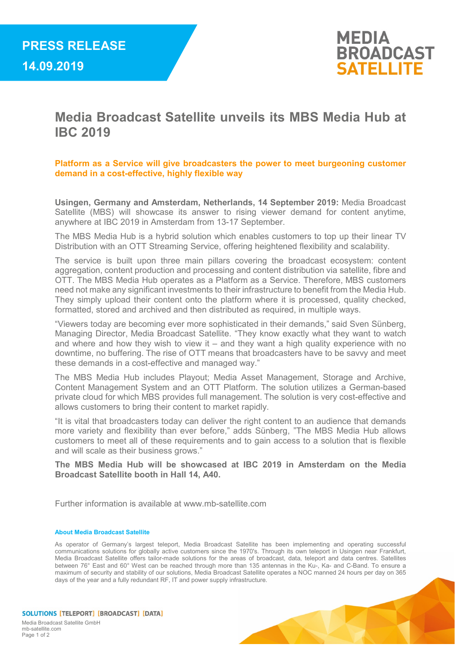

## **Media Broadcast Satellite unveils its MBS Media Hub at IBC 2019**

**Platform as a Service will give broadcasters the power to meet burgeoning customer demand in a cost-effective, highly flexible way**

**Usingen, Germany and Amsterdam, Netherlands, 14 September 2019:** Media Broadcast Satellite (MBS) will showcase its answer to rising viewer demand for content anytime, anywhere at IBC 2019 in Amsterdam from 13-17 September.

The MBS Media Hub is a hybrid solution which enables customers to top up their linear TV Distribution with an OTT Streaming Service, offering heightened flexibility and scalability.

The service is built upon three main pillars covering the broadcast ecosystem: content aggregation, content production and processing and content distribution via satellite, fibre and OTT. The MBS Media Hub operates as a Platform as a Service. Therefore, MBS customers need not make any significant investments to their infrastructure to benefit from the Media Hub. They simply upload their content onto the platform where it is processed, quality checked, formatted, stored and archived and then distributed as required, in multiple ways.

"Viewers today are becoming ever more sophisticated in their demands," said Sven Sünberg, Managing Director, Media Broadcast Satellite. "They know exactly what they want to watch and where and how they wish to view it – and they want a high quality experience with no downtime, no buffering. The rise of OTT means that broadcasters have to be savvy and meet these demands in a cost-effective and managed way."

The MBS Media Hub includes Playout; Media Asset Management, Storage and Archive, Content Management System and an OTT Platform. The solution utilizes a German-based private cloud for which MBS provides full management. The solution is very cost-effective and allows customers to bring their content to market rapidly.

"It is vital that broadcasters today can deliver the right content to an audience that demands more variety and flexibility than ever before," adds Sünberg, "The MBS Media Hub allows customers to meet all of these requirements and to gain access to a solution that is flexible and will scale as their business grows."

**The MBS Media Hub will be showcased at IBC 2019 in Amsterdam on the Media Broadcast Satellite booth in Hall 14, A40.**

Further information is available at www.mb-satellite.com

## **About Media Broadcast Satellite**

As operator of Germany's largest teleport, Media Broadcast Satellite has been implementing and operating successful communications solutions for globally active customers since the 1970's. Through its own teleport in Usingen near Frankfurt, Media Broadcast Satellite offers tailor-made solutions for the areas of broadcast, data, teleport and data centres. Satellites between 76° East and 60° West can be reached through more than 135 antennas in the Ku-, Ka- and C-Band. To ensure a maximum of security and stability of our solutions, Media Broadcast Satellite operates a NOC manned 24 hours per day on 365 days of the year and a fully redundant RF, IT and power supply infrastructure.

SOLUTIONS [TELEPORT] [BROADCAST] [DATA] Media Broadcast Satellite GmbH mb-satellite.com Page 1 of 2